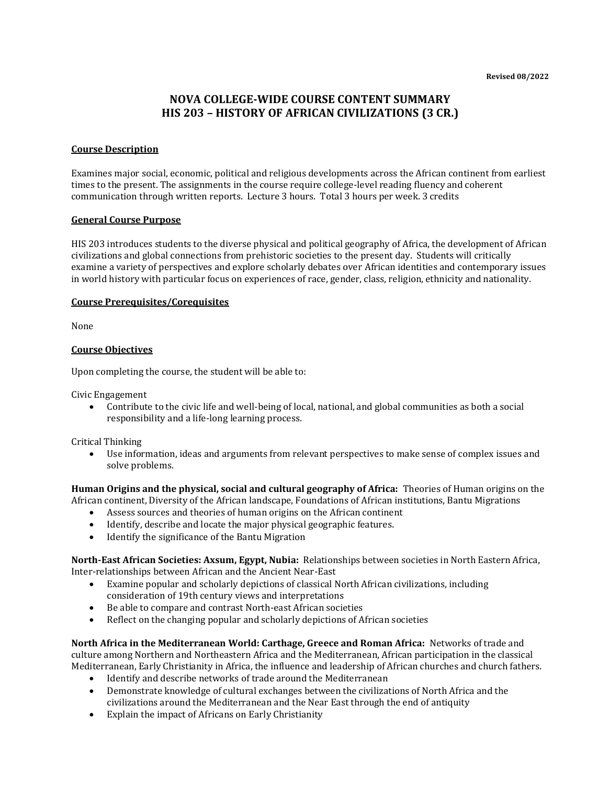# **NOVA COLLEGE-WIDE COURSE CONTENT SUMMARY HIS 203 – HISTORY OF AFRICAN CIVILIZATIONS (3 CR.)**

### **Course Description**

Examines major social, economic, political and religious developments across the African continent from earliest times to the present. The assignments in the course require college-level reading fluency and coherent communication through written reports. Lecture 3 hours. Total 3 hours per week. 3 credits

#### **General Course Purpose**

HIS 203 introduces students to the diverse physical and political geography of Africa, the development of African civilizations and global connections from prehistoric societies to the present day. Students will critically examine a variety of perspectives and explore scholarly debates over African identities and contemporary issues in world history with particular focus on experiences of race, gender, class, religion, ethnicity and nationality.

### **Course Prerequisites/Corequisites**

None

### **Course Objectives**

Upon completing the course, the student will be able to:

Civic Engagement

• Contribute to the civic life and well-being of local, national, and global communities as both a social responsibility and a life-long learning process.

Critical Thinking

• Use information, ideas and arguments from relevant perspectives to make sense of complex issues and solve problems.

**Human Origins and the physical, social and cultural geography of Africa:** Theories of Human origins on the African continent, Diversity of the African landscape, Foundations of African institutions, Bantu Migrations

- Assess sources and theories of human origins on the African continent
- Identify, describe and locate the major physical geographic features.
- Identify the significance of the Bantu Migration

**North-East African Societies: Axsum, Egypt, Nubia:** Relationships between societies in North Eastern Africa, Inter-relationships between African and the Ancient Near-East

- Examine popular and scholarly depictions of classical North African civilizations, including consideration of 19th century views and interpretations
- Be able to compare and contrast North-east African societies
- Reflect on the changing popular and scholarly depictions of African societies

**North Africa in the Mediterranean World: Carthage, Greece and Roman Africa:** Networks of trade and culture among Northern and Northeastern Africa and the Mediterranean, African participation in the classical Mediterranean, Early Christianity in Africa, the influence and leadership of African churches and church fathers.

- Identify and describe networks of trade around the Mediterranean
- Demonstrate knowledge of cultural exchanges between the civilizations of North Africa and the civilizations around the Mediterranean and the Near East through the end of antiquity
- Explain the impact of Africans on Early Christianity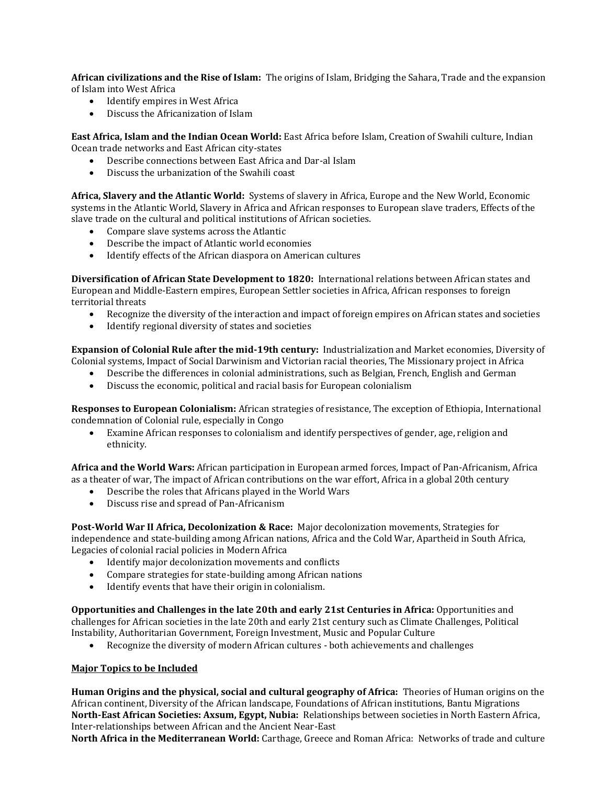**African civilizations and the Rise of Islam:** The origins of Islam, Bridging the Sahara, Trade and the expansion of Islam into West Africa

- Identify empires in West Africa
- Discuss the Africanization of Islam

**East Africa, Islam and the Indian Ocean World:** East Africa before Islam, Creation of Swahili culture, Indian Ocean trade networks and East African city-states

- Describe connections between East Africa and Dar-al Islam
- Discuss the urbanization of the Swahili coast

**Africa, Slavery and the Atlantic World:** Systems of slavery in Africa, Europe and the New World, Economic systems in the Atlantic World, Slavery in Africa and African responses to European slave traders, Effects of the slave trade on the cultural and political institutions of African societies.

- Compare slave systems across the Atlantic
- Describe the impact of Atlantic world economies
- Identify effects of the African diaspora on American cultures

**Diversification of African State Development to 1820:** International relations between African states and European and Middle-Eastern empires, European Settler societies in Africa, African responses to foreign territorial threats

- Recognize the diversity of the interaction and impact of foreign empires on African states and societies
- Identify regional diversity of states and societies

**Expansion of Colonial Rule after the mid-19th century:** Industrialization and Market economies, Diversity of Colonial systems, Impact of Social Darwinism and Victorian racial theories, The Missionary project in Africa

- Describe the differences in colonial administrations, such as Belgian, French, English and German
- Discuss the economic, political and racial basis for European colonialism

**Responses to European Colonialism:** African strategies of resistance, The exception of Ethiopia, International condemnation of Colonial rule, especially in Congo

• Examine African responses to colonialism and identify perspectives of gender, age, religion and ethnicity.

**Africa and the World Wars:** African participation in European armed forces, Impact of Pan-Africanism, Africa as a theater of war, The impact of African contributions on the war effort, Africa in a global 20th century

- Describe the roles that Africans played in the World Wars
- Discuss rise and spread of Pan-Africanism

**Post-World War II Africa, Decolonization & Race:** Major decolonization movements, Strategies for independence and state-building among African nations, Africa and the Cold War, Apartheid in South Africa, Legacies of colonial racial policies in Modern Africa

- Identify major decolonization movements and conflicts
- Compare strategies for state-building among African nations
- Identify events that have their origin in colonialism.

**Opportunities and Challenges in the late 20th and early 21st Centuries in Africa:** Opportunities and challenges for African societies in the late 20th and early 21st century such as Climate Challenges, Political Instability, Authoritarian Government, Foreign Investment, Music and Popular Culture

• Recognize the diversity of modern African cultures - both achievements and challenges

## **Major Topics to be Included**

**Human Origins and the physical, social and cultural geography of Africa:** Theories of Human origins on the African continent, Diversity of the African landscape, Foundations of African institutions, Bantu Migrations **North-East African Societies: Axsum, Egypt, Nubia:** Relationships between societies in North Eastern Africa, Inter-relationships between African and the Ancient Near-East

**North Africa in the Mediterranean World:** Carthage, Greece and Roman Africa: Networks of trade and culture